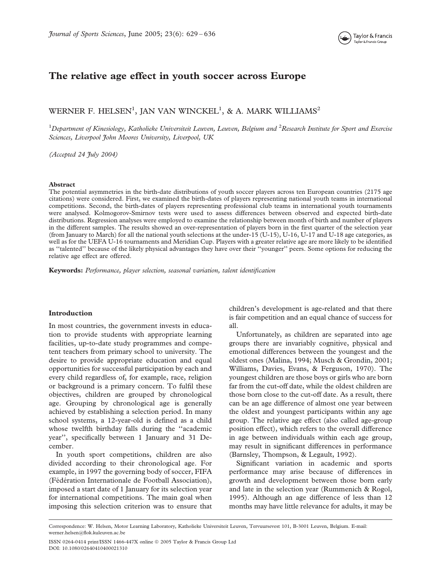

# The relative age effect in youth soccer across Europe

# WERNER F. HELSEN<sup>1</sup>, JAN VAN WINCKEL<sup>1</sup>, & A. MARK WILLIAMS<sup>2</sup>

 $^1$ Department of Kinesiology, Katholieke Universiteit Leuven, Leuven, Belgium and <sup>2</sup>Research Institute for Sport and Exercise Sciences, Liverpool John Moores University, Liverpool, UK

(Accepted 24 July 2004)

#### Abstract

The potential asymmetries in the birth-date distributions of youth soccer players across ten European countries (2175 age citations) were considered. First, we examined the birth-dates of players representing national youth teams in international competitions. Second, the birth-dates of players representing professional club teams in international youth tournaments were analysed. Kolmogorov-Smirnov tests were used to assess differences between observed and expected birth-date distributions. Regression analyses were employed to examine the relationship between month of birth and number of players in the different samples. The results showed an over-representation of players born in the first quarter of the selection year (from January to March) for all the national youth selections at the under-15 (U-15), U-16, U-17 and U-18 age categories, as well as for the UEFA U-16 tournaments and Meridian Cup. Players with a greater relative age are more likely to be identified as ''talented'' because of the likely physical advantages they have over their ''younger'' peers. Some options for reducing the relative age effect are offered.

Keywords: Performance, player selection, seasonal variation, talent identification

#### Introduction

In most countries, the government invests in education to provide students with appropriate learning facilities, up-to-date study programmes and competent teachers from primary school to university. The desire to provide appropriate education and equal opportunities for successful participation by each and every child regardless of, for example, race, religion or background is a primary concern. To fulfil these objectives, children are grouped by chronological age. Grouping by chronological age is generally achieved by establishing a selection period. In many school systems, a 12-year-old is defined as a child whose twelfth birthday falls during the ''academic year'', specifically between 1 January and 31 December.

In youth sport competitions, children are also divided according to their chronological age. For example, in 1997 the governing body of soccer, FIFA (Fédération Internationale de Football Association), imposed a start date of 1 January for its selection year for international competitions. The main goal when imposing this selection criterion was to ensure that

children's development is age-related and that there is fair competition and an equal chance of success for all.

Unfortunately, as children are separated into age groups there are invariably cognitive, physical and emotional differences between the youngest and the oldest ones (Malina, 1994; Musch & Grondin, 2001; Williams, Davies, Evans, & Ferguson, 1970). The youngest children are those boys or girls who are born far from the cut-off date, while the oldest children are those born close to the cut-off date. As a result, there can be an age difference of almost one year between the oldest and youngest participants within any age group. The relative age effect (also called age-group position effect), which refers to the overall difference in age between individuals within each age group, may result in significant differences in performance (Barnsley, Thompson, & Legault, 1992).

Significant variation in academic and sports performance may arise because of differences in growth and development between those born early and late in the selection year (Rummenich & Rogol, 1995). Although an age difference of less than 12 months may have little relevance for adults, it may be

Correspondence: W. Helsen, Motor Learning Laboratory, Katholieke Universiteit Leuven, Tervuursevest 101, B-3001 Leuven, Belgium. E-mail: werner.helsen@flok.kuleuven.ac.be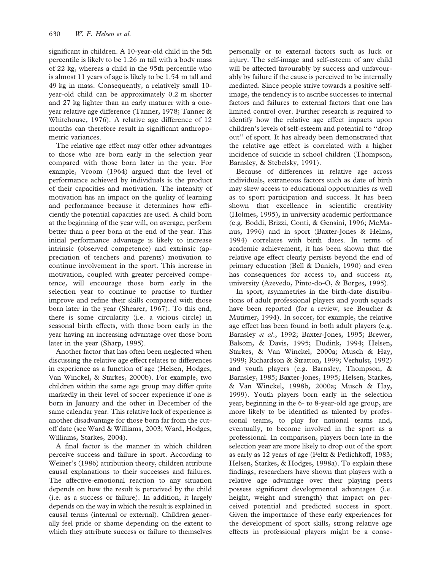significant in children. A 10-year-old child in the 5th percentile is likely to be 1.26 m tall with a body mass of 22 kg, whereas a child in the 95th percentile who is almost 11 years of age is likely to be 1.54 m tall and 49 kg in mass. Consequently, a relatively small 10 year-old child can be approximately 0.2 m shorter and 27 kg lighter than an early maturer with a oneyear relative age difference (Tanner, 1978; Tanner & Whitehouse, 1976). A relative age difference of 12 months can therefore result in significant anthropometric variances.

The relative age effect may offer other advantages to those who are born early in the selection year compared with those born later in the year. For example, Vroom (1964) argued that the level of performance achieved by individuals is the product of their capacities and motivation. The intensity of motivation has an impact on the quality of learning and performance because it determines how efficiently the potential capacities are used. A child born at the beginning of the year will, on average, perform better than a peer born at the end of the year. This initial performance advantage is likely to increase intrinsic (observed competence) and extrinsic (appreciation of teachers and parents) motivation to continue involvement in the sport. This increase in motivation, coupled with greater perceived competence, will encourage those born early in the selection year to continue to practise to further improve and refine their skills compared with those born later in the year (Shearer, 1967). To this end, there is some circularity (i.e. a vicious circle) in seasonal birth effects, with those born early in the year having an increasing advantage over those born later in the year (Sharp, 1995).

Another factor that has often been neglected when discussing the relative age effect relates to differences in experience as a function of age (Helsen, Hodges, Van Winckel, & Starkes, 2000b). For example, two children within the same age group may differ quite markedly in their level of soccer experience if one is born in January and the other in December of the same calendar year. This relative lack of experience is another disadvantage for those born far from the cutoff date (see Ward & Williams, 2003; Ward, Hodges, Williams, Starkes, 2004).

A final factor is the manner in which children perceive success and failure in sport. According to Weiner's (1986) attribution theory, children attribute causal explanations to their successes and failures. The affective-emotional reaction to any situation depends on how the result is perceived by the child (i.e. as a success or failure). In addition, it largely depends on the way in which the result is explained in causal terms (internal or external). Children generally feel pride or shame depending on the extent to which they attribute success or failure to themselves

personally or to external factors such as luck or injury. The self-image and self-esteem of any child will be affected favourably by success and unfavourably by failure if the cause is perceived to be internally mediated. Since people strive towards a positive selfimage, the tendency is to ascribe successes to internal factors and failures to external factors that one has limited control over. Further research is required to identify how the relative age effect impacts upon children's levels of self-esteem and potential to ''drop out'' of sport. It has already been demonstrated that the relative age effect is correlated with a higher incidence of suicide in school children (Thompson, Barnsley, & Stebelsky, 1991).

Because of differences in relative age across individuals, extraneous factors such as date of birth may skew access to educational opportunities as well as to sport participation and success. It has been shown that excellence in scientific creativity (Holmes, 1995), in university academic performance (e.g. Boddi, Brizzi, Conti, & Gensini, 1996; McManus, 1996) and in sport (Baxter-Jones & Helms, 1994) correlates with birth dates. In terms of academic achievement, it has been shown that the relative age effect clearly persists beyond the end of primary education (Bell & Daniels, 1990) and even has consequences for access to, and success at, university (Azevedo, Pinto-do-O, & Borges, 1995).

In sport, asymmetries in the birth-date distributions of adult professional players and youth squads have been reported (for a review, see Boucher & Mutimer, 1994). In soccer, for example, the relative age effect has been found in both adult players (e.g. Barnsley et al., 1992; Baxter-Jones, 1995; Brewer, Balsom, & Davis, 1995; Dudink, 1994; Helsen, Starkes, & Van Winckel, 2000a; Musch & Hay, 1999; Richardson & Stratton, 1999; Verhulst, 1992) and youth players (e.g. Barnsley, Thompson, & Barnsley, 1985; Baxter-Jones, 1995; Helsen, Starkes, & Van Winckel, 1998b, 2000a; Musch & Hay, 1999). Youth players born early in the selection year, beginning in the 6- to 8-year-old age group, are more likely to be identified as talented by professional teams, to play for national teams and, eventually, to become involved in the sport as a professional. In comparison, players born late in the selection year are more likely to drop out of the sport as early as 12 years of age (Feltz & Petlichkoff, 1983; Helsen, Starkes, & Hodges, 1998a). To explain these findings, researchers have shown that players with a relative age advantage over their playing peers possess significant developmental advantages (i.e. height, weight and strength) that impact on perceived potential and predicted success in sport. Given the importance of these early experiences for the development of sport skills, strong relative age effects in professional players might be a conse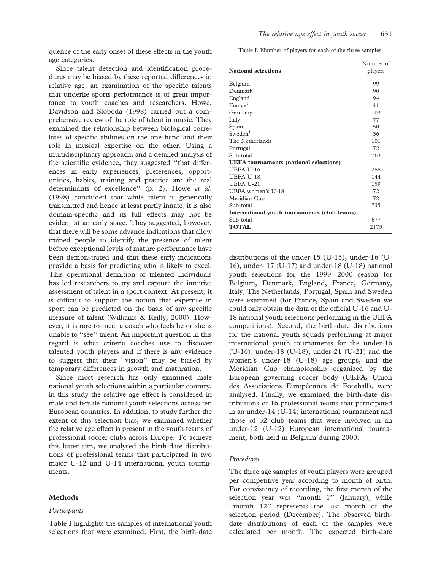quence of the early onset of these effects in the youth age categories.

Since talent detection and identification procedures may be biased by these reported differences in relative age, an examination of the specific talents that underlie sports performance is of great importance to youth coaches and researchers. Howe, Davidson and Sloboda (1998) carried out a comprehensive review of the role of talent in music. They examined the relationship between biological correlates of specific abilities on the one hand and their role in musical expertise on the other. Using a multidisciplinary approach, and a detailed analysis of the scientific evidence, they suggested ''that differences in early experiences, preferences, opportunities, habits, training and practice are the real determinants of excellence" (p. 2). Howe et al. (1998) concluded that while talent is genetically transmitted and hence at least partly innate, it is also domain-specific and its full effects may not be evident at an early stage. They suggested, however, that there will be some advance indications that allow trained people to identify the presence of talent before exceptional levels of mature performance have been demonstrated and that these early indications provide a basis for predicting who is likely to excel. This operational definition of talented individuals has led researchers to try and capture the intuitive assessment of talent in a sport context. At present, it is difficult to support the notion that expertise in sport can be predicted on the basis of any specific measure of talent (Williams & Reilly, 2000). However, it is rare to meet a coach who feels he or she is unable to ''see'' talent. An important question in this regard is what criteria coaches use to discover talented youth players and if there is any evidence to suggest that their ''vision'' may be biased by temporary differences in growth and maturation.

Since most research has only examined male national youth selections within a particular country, in this study the relative age effect is considered in male and female national youth selections across ten European countries. In addition, to study further the extent of this selection bias, we examined whether the relative age effect is present in the youth teams of professional soccer clubs across Europe. To achieve this latter aim, we analysed the birth-date distributions of professional teams that participated in two major U-12 and U-14 international youth tournaments.

### Methods

#### Participants

Table I highlights the samples of international youth selections that were examined. First, the birth-date Table I. Number of players for each of the three samples.

| <b>National selections</b>                    | Number of<br>players |
|-----------------------------------------------|----------------------|
| Belgium                                       | 99                   |
| Denmark                                       | 90                   |
| England                                       | 94                   |
| France <sup>1</sup>                           | 41                   |
| Germany                                       | 103                  |
| Italy                                         | 77                   |
| $S$ pain <sup>1</sup>                         | 50                   |
| Sweden <sup>1</sup>                           | 36                   |
| The Netherlands                               | 101                  |
| Portugal                                      | 72                   |
| Sub-total                                     | 763                  |
| <b>UEFA</b> tournaments (national selections) |                      |
| UEFA U-16                                     | 288                  |
| <b>UEFA U-18</b>                              | 144                  |
| UEFA U-21                                     | 159                  |
| UEFA women's U-18                             | 72                   |
| Meridian Cup                                  | 72                   |
| Sub-total                                     | 735                  |
| International youth tournaments (club teams)  |                      |
| Sub-total                                     | 677                  |
| <b>TOTAL</b>                                  | 2175                 |

distributions of the under-15 (U-15), under-16 (U-16), under- 17 (U-17) and under-18 (U-18) national youth selections for the 1999 – 2000 season for Belgium, Denmark, England, France, Germany, Italy, The Netherlands, Portugal, Spain and Sweden were examined (for France, Spain and Sweden we could only obtain the data of the official U-16 and U-18 national youth selections performing in the UEFA competitions). Second, the birth-date distributions for the national youth squads performing at major international youth tournaments for the under-16 (U-16), under-18 (U-18), under-21 (U-21) and the women's under-18 (U-18) age groups, and the Meridian Cup championship organized by the European governing soccer body (UEFA, Union des Associations Européennes de Football), were analysed. Finally, we examined the birth-date distributions of 16 professional teams that participated in an under-14 (U-14) international tournament and those of 32 club teams that were involved in an under-12 (U-12) European international tournament, both held in Belgium during 2000.

#### Procedures

The three age samples of youth players were grouped per competitive year according to month of birth. For consistency of recording, the first month of the selection year was "month 1" (January), while ''month 12'' represents the last month of the selection period (December). The observed birthdate distributions of each of the samples were calculated per month. The expected birth-date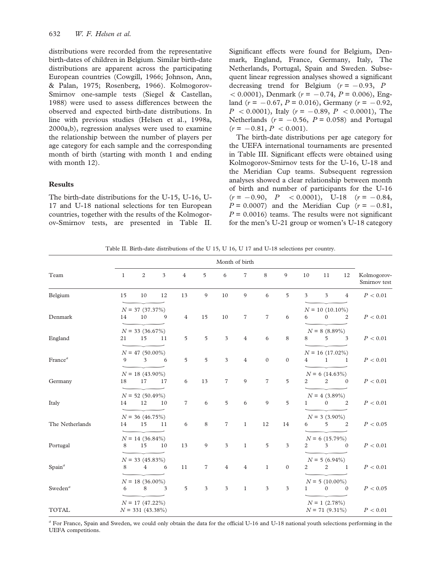distributions were recorded from the representative birth-dates of children in Belgium. Similar birth-date distributions are apparent across the participating European countries (Cowgill, 1966; Johnson, Ann, & Palan, 1975; Rosenberg, 1966). Kolmogorov-Smirnov one-sample tests (Siegel & Castellan, 1988) were used to assess differences between the observed and expected birth-date distributions. In line with previous studies (Helsen et al., 1998a, 2000a,b), regression analyses were used to examine the relationship between the number of players per age category for each sample and the corresponding month of birth (starting with month 1 and ending with month 12).

## Results

The birth-date distributions for the U-15, U-16, U-17 and U-18 national selections for ten European countries, together with the results of the Kolmogorov-Smirnov tests, are presented in Table II.

Significant effects were found for Belgium, Denmark, England, France, Germany, Italy, The Netherlands, Portugal, Spain and Sweden. Subsequent linear regression analyses showed a significant decreasing trend for Belgium ( $r = -0.93$ , P  $< 0.0001$ ), Denmark ( $r = -0.74$ ,  $P = 0.006$ ), England ( $r = -0.67$ ,  $P = 0.016$ ), Germany ( $r = -0.92$ ,  $P < 0.0001$ ), Italy ( $r = -0.89$ ,  $P < 0.0001$ ), The Netherlands ( $r = -0.56$ ,  $P = 0.058$ ) and Portugal  $(r = -0.81, P < 0.001).$ 

The birth-date distributions per age category for the UEFA international tournaments are presented in Table III. Significant effects were obtained using Kolmogorov-Smirnov tests for the U-16, U-18 and the Meridian Cup teams. Subsequent regression analyses showed a clear relationship between month of birth and number of participants for the U-16  $(r = -0.90, P < 0.0001), U-18$   $(r = -0.84,$  $P = 0.0007$ ) and the Meridian Cup ( $r = -0.81$ ,  $P = 0.0016$ ) teams. The results were not significant for the men's U-21 group or women's U-18 category

Table II. Birth-date distributions of the U 15, U 16, U 17 and U-18 selections per country.

|                     | Month of birth                         |                     |            |                |                    |                |                |                |                |              |                                                                       |                     |                             |
|---------------------|----------------------------------------|---------------------|------------|----------------|--------------------|----------------|----------------|----------------|----------------|--------------|-----------------------------------------------------------------------|---------------------|-----------------------------|
| Team                | $\mathbf{1}$                           | 2                   | 3          | $\overline{4}$ | 5                  | 6              | $\overline{7}$ | 8              | 9              | 10           | 11                                                                    | 12                  | Kolmogorov-<br>Smirnov test |
| Belgium             | 15                                     | 10                  | 12         | 13             | 9                  | 10             | 9              | 6              | 5              | 3            | 3 <sup>7</sup>                                                        | $\overline{4}$      | P < 0.01                    |
|                     |                                        | $N = 37(37.37\%)$   |            |                | $N = 10 (10.10\%)$ |                |                |                |                |              |                                                                       |                     |                             |
| Denmark             | 14                                     | 10                  | 9          | $\overline{4}$ | 15                 | 10             | $\overline{7}$ | $\overline{7}$ | 6              | 6            |                                                                       | $0\qquad 2$         | P < 0.01                    |
|                     | $N = 33$ (36.67%)<br>$N = 8$ (8.89%)   |                     |            |                |                    |                |                |                |                |              |                                                                       |                     |                             |
| England             | 21                                     |                     | 15 11      | 5              | 5                  | $\mathfrak{Z}$ | $\overline{4}$ | 6              | $\,8\,$        | 8            |                                                                       | $5 \qquad \qquad 3$ | P < 0.01                    |
|                     | $N = 47(50.00\%)$<br>$N = 16(17.02\%)$ |                     |            |                |                    |                |                |                |                |              |                                                                       |                     |                             |
| France <sup>a</sup> |                                        | 9 3 6               |            | 5              | $\overline{5}$     | $\mathfrak{Z}$ | $\overline{4}$ | $\mathbf{0}$   | $\mathbf{0}$   |              | $\begin{matrix} 4 & \hspace{1.5cm} 1 & \hspace{1.5cm} 1 \end{matrix}$ |                     | P < 0.01                    |
|                     |                                        | $N = 18$ (43.90%)   |            |                |                    |                |                |                |                |              | $N = 6(14.63\%)$                                                      |                     |                             |
| Germany             |                                        | 18 17 17            |            | 6              | 13                 | $\overline{7}$ | 9              | $\overline{7}$ | 5              |              | $2 \qquad 2 \qquad 0$                                                 |                     | $P < 0.01$                  |
|                     | $N = 52 (50.49\%)$<br>$N = 4$ (3.89%)  |                     |            |                |                    |                |                |                |                |              |                                                                       |                     |                             |
| Italy               |                                        | 14  12  10          |            | $\overline{7}$ | 6                  | $5^{\circ}$    | 6              | 9              | 5              |              | $1 \qquad 0 \qquad 2$                                                 |                     | $P < 0.01$                  |
|                     | $N = 36 (46.75\%)$<br>$N = 3$ (3.90%)  |                     |            |                |                    |                |                |                |                |              |                                                                       |                     |                             |
| The Netherlands     |                                        | 14 15 11            |            | 6              | 8                  | $\overline{7}$ | $\mathbf{1}$   | 12             | 14             |              | $6 \qquad 5 \qquad 2$                                                 |                     | P < 0.05                    |
|                     |                                        | $N = 14$ (36.84%)   |            |                |                    |                |                |                |                |              | $N = 6(15.79\%)$                                                      |                     |                             |
| Portugal            |                                        | 8 15 10             |            | 13             | 9                  | $\overline{3}$ | $\mathbf{1}$   | 5              | $\overline{3}$ |              | $2 \qquad \qquad 3 \qquad \qquad 0$                                   |                     | $P < 0.01$                  |
|                     | $N = 33$ (45.83%)<br>$N = 5(6.94\%)$   |                     |            |                |                    |                |                |                |                |              |                                                                       |                     |                             |
| Span <sup>a</sup>   | 8                                      |                     | $4\quad 6$ | 11             | $\overline{7}$     | $\overline{4}$ | $\overline{4}$ | $\mathbf{1}$   | $\mathbf{0}$   |              | $2 \qquad \qquad 2 \qquad \quad 1$                                    |                     | P < 0.01                    |
|                     |                                        |                     |            |                |                    |                |                |                |                |              |                                                                       |                     |                             |
|                     |                                        | $N = 18(36.00\%)$   | 8 3        | 5              | $\overline{3}$     | $\overline{3}$ | $\mathbf{1}$   | $\overline{3}$ | $\overline{3}$ |              | $N = 5(10.00\%)$                                                      | $0 \qquad 0$        |                             |
| Sweden <sup>a</sup> | 6                                      |                     |            |                |                    |                |                |                |                | $\mathbf{1}$ |                                                                       |                     | P < 0.05                    |
|                     |                                        | $N = 17(47.22\%)$   |            |                |                    |                |                |                |                |              | $N = 1$ (2.78%)                                                       |                     |                             |
| <b>TOTAL</b>        |                                        | $N = 331 (43.38\%)$ |            |                |                    |                |                |                |                |              | $N = 71(9.31\%)$                                                      |                     | P < 0.01                    |

 $a$  For France, Spain and Sweden, we could only obtain the data for the official U-16 and U-18 national youth selections performing in the UEFA competitions.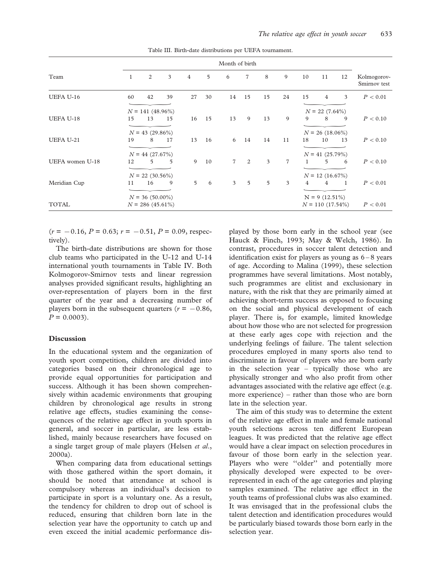|                  | Month of birth |                     |                |                   |    |                |                |    |        |              |                    |                |                             |
|------------------|----------------|---------------------|----------------|-------------------|----|----------------|----------------|----|--------|--------------|--------------------|----------------|-----------------------------|
| Team             | 1              | 2                   | 3              | $\overline{4}$    | 5  | 6              | 7              | 8  | 9      | 10           | 11                 | 12             | Kolmogorov-<br>Smirnov test |
| <b>UEFA U-16</b> | 60             | 42                  | 39             | 27                | 30 | 14             | 15             | 15 | 24     | 15           | 4                  | 3              | P < 0.01                    |
|                  |                | $N = 141 (48.96\%)$ |                |                   |    |                |                |    |        |              | $N = 22$ (7.64%)   |                |                             |
| <b>UEFA U-18</b> | 15             | 13                  | 15             | 16                | 15 | 13             | 9              | 13 | 9      | 9            | 8                  | 9              | P < 0.10                    |
|                  |                | $N = 43(29.86\%)$   |                | $N = 26$ (18.06%) |    |                |                |    |        |              |                    |                |                             |
| <b>UEFA U-21</b> | 19             | 8                   | 17             | 13                | 16 | 6              | 14             | 14 | 11     | 18           | 10                 | 13             | P < 0.10                    |
|                  |                | $N = 44(27.67%)$    |                |                   |    |                |                |    |        |              | $N = 41(25.79\%)$  |                |                             |
| UEFA women U-18  | 12             | 5                   | $\overline{5}$ | 9                 | 10 | $\overline{7}$ | 2              | 3  | $\tau$ | $\mathbf{1}$ | 5                  | 6              | P < 0.10                    |
|                  |                | $N = 22$ (30.56%)   |                |                   |    |                |                |    |        |              | $N = 12$ (16.67%)  |                |                             |
| Meridian Cup     | 11             | 16                  | 9              | 5                 | 6  | 3              | $\overline{5}$ | 5  | 3      | 4            | $\overline{4}$     | $\overline{1}$ | P < 0.01                    |
|                  |                | $N = 36(50.00\%)$   |                |                   |    |                |                |    |        |              | $N = 9(12.51\%)$   |                |                             |
| <b>TOTAL</b>     |                | $N = 286 (45.61\%)$ |                |                   |    |                |                |    |        |              | $N = 110(17.54\%)$ |                | P < 0.01                    |

Table III. Birth-date distributions per UEFA tournament.

 $(r = -0.16, P = 0.63; r = -0.51, P = 0.09, \text{respec}$ tively).

The birth-date distributions are shown for those club teams who participated in the U-12 and U-14 international youth tournaments in Table IV. Both Kolmogorov-Smirnov tests and linear regression analyses provided significant results, highlighting an over-representation of players born in the first quarter of the year and a decreasing number of players born in the subsequent quarters ( $r = -0.86$ ,  $P = 0.0003$ .

### **Discussion**

In the educational system and the organization of youth sport competition, children are divided into categories based on their chronological age to provide equal opportunities for participation and success. Although it has been shown comprehensively within academic environments that grouping children by chronological age results in strong relative age effects, studies examining the consequences of the relative age effect in youth sports in general, and soccer in particular, are less established, mainly because researchers have focused on a single target group of male players (Helsen et al., 2000a).

When comparing data from educational settings with those gathered within the sport domain, it should be noted that attendance at school is compulsory whereas an individual's decision to participate in sport is a voluntary one. As a result, the tendency for children to drop out of school is reduced, ensuring that children born late in the selection year have the opportunity to catch up and even exceed the initial academic performance displayed by those born early in the school year (see Hauck & Finch, 1993; May & Welch, 1986). In contrast, procedures in soccer talent detection and identification exist for players as young as  $6 - 8$  years of age. According to Malina (1999), these selection programmes have several limitations. Most notably, such programmes are elitist and exclusionary in nature, with the risk that they are primarily aimed at achieving short-term success as opposed to focusing on the social and physical development of each player. There is, for example, limited knowledge about how those who are not selected for progression at these early ages cope with rejection and the underlying feelings of failure. The talent selection procedures employed in many sports also tend to discriminate in favour of players who are born early in the selection year – typically those who are physically stronger and who also profit from other advantages associated with the relative age effect (e.g. more experience) – rather than those who are born late in the selection year.

The aim of this study was to determine the extent of the relative age effect in male and female national youth selections across ten different European leagues. It was predicted that the relative age effect would have a clear impact on selection procedures in favour of those born early in the selection year. Players who were "older" and potentially more physically developed were expected to be overrepresented in each of the age categories and playing samples examined. The relative age effect in the youth teams of professional clubs was also examined. It was envisaged that in the professional clubs the talent detection and identification procedures would be particularly biased towards those born early in the selection year.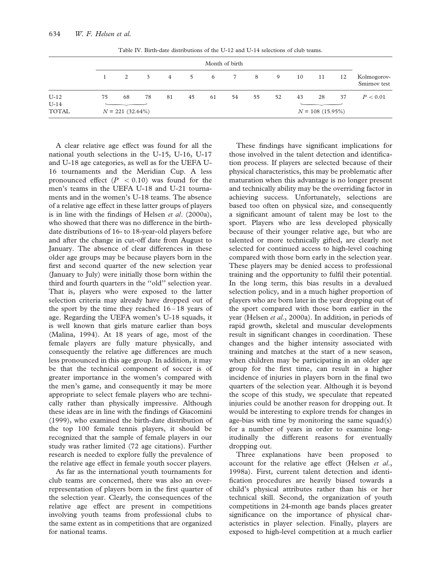Table IV. Birth-date distributions of the U-12 and U-14 selections of club teams.

|                  | Month of birth |                                          |    |    |    |    |    |     |    |    |     |    |                             |
|------------------|----------------|------------------------------------------|----|----|----|----|----|-----|----|----|-----|----|-----------------------------|
|                  |                | 2                                        | 3  | 4  | 5  | 6  |    | - 8 | 9  | 10 | -11 | 12 | Kolmogorov-<br>Smirnov test |
| $U-12$<br>$U-14$ | 75             | 68                                       | 78 | 81 | 45 | 61 | 54 | 55  | 52 | 43 | 28  | 37 | P < 0.01                    |
| <b>TOTAL</b>     |                | $N = 221$ (32.64%)<br>$N = 108(15.95\%)$ |    |    |    |    |    |     |    |    |     |    |                             |

A clear relative age effect was found for all the national youth selections in the U-15, U-16, U-17 and U-18 age categories, as well as for the UEFA U-16 tournaments and the Meridian Cup. A less pronounced effect  $(P < 0.10)$  was found for the men's teams in the UEFA U-18 and U-21 tournaments and in the women's U-18 teams. The absence of a relative age effect in these latter groups of players is in line with the findings of Helsen et al. (2000a), who showed that there was no difference in the birthdate distributions of 16- to 18-year-old players before and after the change in cut-off date from August to January. The absence of clear differences in these older age groups may be because players born in the first and second quarter of the new selection year (January to July) were initially those born within the third and fourth quarters in the ''old'' selection year. That is, players who were exposed to the latter selection criteria may already have dropped out of the sport by the time they reached  $16 - 18$  years of age. Regarding the UEFA women's U-18 squads, it is well known that girls mature earlier than boys (Malina, 1994). At 18 years of age, most of the female players are fully mature physically, and consequently the relative age differences are much less pronounced in this age group. In addition, it may be that the technical component of soccer is of greater importance in the women's compared with the men's game, and consequently it may be more appropriate to select female players who are technically rather than physically impressive. Although these ideas are in line with the findings of Giacomini (1999), who examined the birth-date distribution of the top 100 female tennis players, it should be recognized that the sample of female players in our study was rather limited (72 age citations). Further research is needed to explore fully the prevalence of the relative age effect in female youth soccer players.

As far as the international youth tournaments for club teams are concerned, there was also an overrepresentation of players born in the first quarter of the selection year. Clearly, the consequences of the relative age effect are present in competitions involving youth teams from professional clubs to the same extent as in competitions that are organized for national teams.

These findings have significant implications for those involved in the talent detection and identification process. If players are selected because of their physical characteristics, this may be problematic after maturation when this advantage is no longer present and technically ability may be the overriding factor in achieving success. Unfortunately, selections are based too often on physical size, and consequently a significant amount of talent may be lost to the sport. Players who are less developed physically because of their younger relative age, but who are talented or more technically gifted, are clearly not selected for continued access to high-level coaching compared with those born early in the selection year. These players may be denied access to professional training and the opportunity to fulfil their potential. In the long term, this bias results in a devalued selection policy, and in a much higher proportion of players who are born later in the year dropping out of the sport compared with those born earlier in the year (Helsen et al., 2000a). In addition, in periods of rapid growth, skeletal and muscular developments result in significant changes in coordination. These changes and the higher intensity associated with training and matches at the start of a new season, when children may be participating in an older age group for the first time, can result in a higher incidence of injuries in players born in the final two quarters of the selection year. Although it is beyond the scope of this study, we speculate that repeated injuries could be another reason for dropping out. It would be interesting to explore trends for changes in age-bias with time by monitoring the same squad(s) for a number of years in order to examine longitudinally the different reasons for eventually dropping out.

Three explanations have been proposed to account for the relative age effect (Helsen et al., 1998a). First, current talent detection and identification procedures are heavily biased towards a child's physical attributes rather than his or her technical skill. Second, the organization of youth competitions in 24-month age bands places greater significance on the importance of physical characteristics in player selection. Finally, players are exposed to high-level competition at a much earlier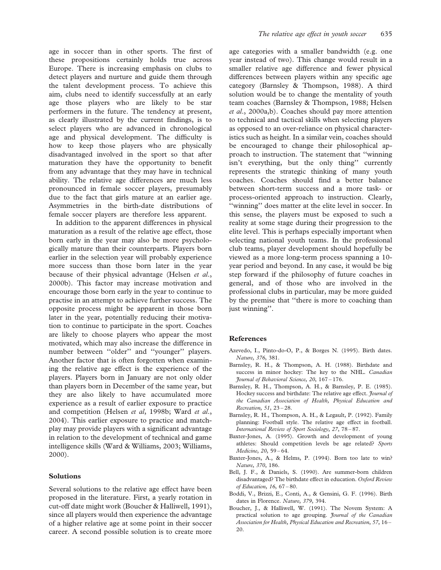age in soccer than in other sports. The first of these propositions certainly holds true across Europe. There is increasing emphasis on clubs to detect players and nurture and guide them through the talent development process. To achieve this aim, clubs need to identify successfully at an early age those players who are likely to be star performers in the future. The tendency at present, as clearly illustrated by the current findings, is to select players who are advanced in chronological age and physical development. The difficulty is how to keep those players who are physically disadvantaged involved in the sport so that after maturation they have the opportunity to benefit from any advantage that they may have in technical ability. The relative age differences are much less pronounced in female soccer players, presumably due to the fact that girls mature at an earlier age. Asymmetries in the birth-date distributions of female soccer players are therefore less apparent.

In addition to the apparent differences in physical maturation as a result of the relative age effect, those born early in the year may also be more psychologically mature than their counterparts. Players born earlier in the selection year will probably experience more success than those born later in the year because of their physical advantage (Helsen *et al.*, 2000b). This factor may increase motivation and encourage those born early in the year to continue to practise in an attempt to achieve further success. The opposite process might be apparent in those born later in the year, potentially reducing their motivation to continue to participate in the sport. Coaches are likely to choose players who appear the most motivated, which may also increase the difference in number between ''older'' and ''younger'' players. Another factor that is often forgotten when examining the relative age effect is the experience of the players. Players born in January are not only older than players born in December of the same year, but they are also likely to have accumulated more experience as a result of earlier exposure to practice and competition (Helsen et al, 1998b; Ward et al., 2004). This earlier exposure to practice and matchplay may provide players with a significant advantage in relation to the development of technical and game intelligence skills (Ward & Williams, 2003; Williams, 2000).

### Solutions

Several solutions to the relative age effect have been proposed in the literature. First, a yearly rotation in cut-off date might work (Boucher & Halliwell, 1991), since all players would then experience the advantage of a higher relative age at some point in their soccer career. A second possible solution is to create more

age categories with a smaller bandwidth (e.g. one year instead of two). This change would result in a smaller relative age difference and fewer physical differences between players within any specific age category (Barnsley & Thompson, 1988). A third solution would be to change the mentality of youth team coaches (Barnsley & Thompson, 1988; Helsen et al., 2000a,b). Coaches should pay more attention to technical and tactical skills when selecting players as opposed to an over-reliance on physical characteristics such as height. In a similar vein, coaches should be encouraged to change their philosophical approach to instruction. The statement that ''winning isn't everything, but the only thing'' currently represents the strategic thinking of many youth coaches. Coaches should find a better balance between short-term success and a more task- or process-oriented approach to instruction. Clearly, "winning" does matter at the elite level in soccer. In this sense, the players must be exposed to such a reality at some stage during their progression to the elite level. This is perhaps especially important when selecting national youth teams. In the professional club teams, player development should hopefully be viewed as a more long-term process spanning a 10 year period and beyond. In any case, it would be big step forward if the philosophy of future coaches in general, and of those who are involved in the professional clubs in particular, may be more guided by the premise that ''there is more to coaching than just winning''.

# References

- Azevedo, I., Pinto-do-O, P., & Borges N. (1995). Birth dates. Nature, 376, 381.
- Barnsley, R. H., & Thompson, A. H. (1988). Birthdate and success in minor hockey: The key to the NHL. Canadian Journal of Behavioral Science, 20, 167 – 176.
- Barnsley, R. H., Thompson, A. H., & Barnsley, P. E. (1985). Hockey success and birthdate: The relative age effect. *Journal of* the Canadian Association of Health, Physical Education and Recreation, 51, 23 – 28.
- Barnsley, R. H., Thompson, A. H., & Legault, P. (1992). Family planning: Football style. The relative age effect in football. International Review of Sport Sociology, 27, 78 – 87.
- Baxter-Jones, A. (1995). Growth and development of young athletes: Should competition levels be age related? Sports Medicine, 20, 59 – 64.
- Baxter-Jones, A., & Helms, P. (1994). Born too late to win? Nature, 370, 186.
- Bell, J. F., & Daniels, S. (1990). Are summer-born children disadvantaged? The birthdate effect in education. Oxford Review of Education, 16, 67 – 80.
- Boddi, V., Brizzi, E., Conti, A., & Gensini, G. F. (1996). Birth dates in Florence. Nature, 379, 394.
- Boucher, J., & Halliwell, W. (1991). The Novem System: A practical solution to age grouping. Journal of the Canadian Association for Health, Physical Education and Recreation, 57, 16 – 20.